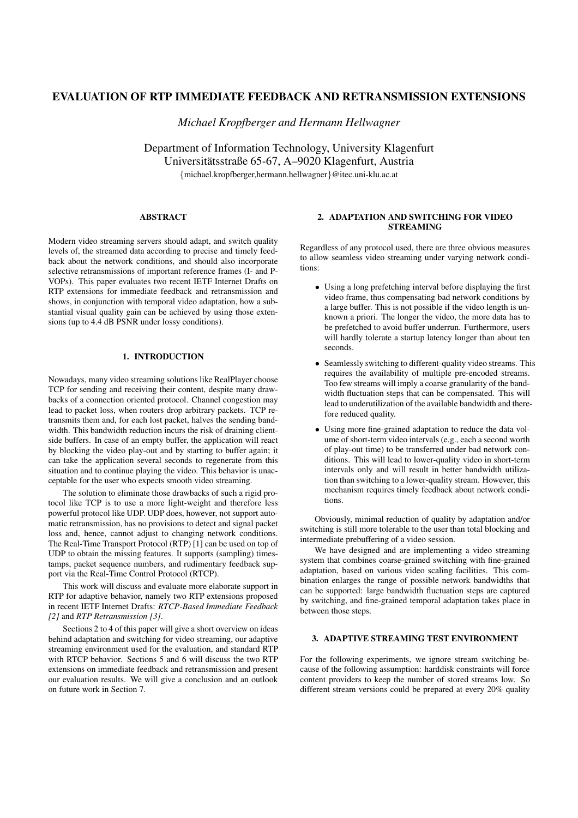# **EVALUATION OF RTP IMMEDIATE FEEDBACK AND RETRANSMISSION EXTENSIONS**

*Michael Kropfberger and Hermann Hellwagner*

Department of Information Technology, University Klagenfurt Universitätsstraße 65-67, A–9020 Klagenfurt, Austria {michael.kropfberger,hermann.hellwagner}@itec.uni-klu.ac.at

### **ABSTRACT**

Modern video streaming servers should adapt, and switch quality levels of, the streamed data according to precise and timely feedback about the network conditions, and should also incorporate selective retransmissions of important reference frames (I- and P-VOPs). This paper evaluates two recent IETF Internet Drafts on RTP extensions for immediate feedback and retransmission and shows, in conjunction with temporal video adaptation, how a substantial visual quality gain can be achieved by using those extensions (up to 4.4 dB PSNR under lossy conditions).

# **1. INTRODUCTION**

Nowadays, many video streaming solutions like RealPlayer choose TCP for sending and receiving their content, despite many drawbacks of a connection oriented protocol. Channel congestion may lead to packet loss, when routers drop arbitrary packets. TCP retransmits them and, for each lost packet, halves the sending bandwidth. This bandwidth reduction incurs the risk of draining clientside buffers. In case of an empty buffer, the application will react by blocking the video play-out and by starting to buffer again; it can take the application several seconds to regenerate from this situation and to continue playing the video. This behavior is unacceptable for the user who expects smooth video streaming.

The solution to eliminate those drawbacks of such a rigid protocol like TCP is to use a more light-weight and therefore less powerful protocol like UDP. UDP does, however, not support automatic retransmission, has no provisions to detect and signal packet loss and, hence, cannot adjust to changing network conditions. The Real-Time Transport Protocol (RTP) [1] can be used on top of UDP to obtain the missing features. It supports (sampling) timestamps, packet sequence numbers, and rudimentary feedback support via the Real-Time Control Protocol (RTCP).

This work will discuss and evaluate more elaborate support in RTP for adaptive behavior, namely two RTP extensions proposed in recent IETF Internet Drafts: *RTCP-Based Immediate Feedback [2]* and *RTP Retransmission [3]*.

Sections 2 to 4 of this paper will give a short overview on ideas behind adaptation and switching for video streaming, our adaptive streaming environment used for the evaluation, and standard RTP with RTCP behavior. Sections 5 and 6 will discuss the two RTP extensions on immediate feedback and retransmission and present our evaluation results. We will give a conclusion and an outlook on future work in Section 7.

# **2. ADAPTATION AND SWITCHING FOR VIDEO STREAMING**

Regardless of any protocol used, there are three obvious measures to allow seamless video streaming under varying network conditions:

- Using a long prefetching interval before displaying the first video frame, thus compensating bad network conditions by a large buffer. This is not possible if the video length is unknown a priori. The longer the video, the more data has to be prefetched to avoid buffer underrun. Furthermore, users will hardly tolerate a startup latency longer than about ten seconds.
- Seamlessly switching to different-quality video streams. This requires the availability of multiple pre-encoded streams. Too few streams will imply a coarse granularity of the bandwidth fluctuation steps that can be compensated. This will lead to underutilization of the available bandwidth and therefore reduced quality.
- Using more fine-grained adaptation to reduce the data volume of short-term video intervals (e.g., each a second worth of play-out time) to be transferred under bad network conditions. This will lead to lower-quality video in short-term intervals only and will result in better bandwidth utilization than switching to a lower-quality stream. However, this mechanism requires timely feedback about network conditions.

Obviously, minimal reduction of quality by adaptation and/or switching is still more tolerable to the user than total blocking and intermediate prebuffering of a video session.

We have designed and are implementing a video streaming system that combines coarse-grained switching with fine-grained adaptation, based on various video scaling facilities. This combination enlarges the range of possible network bandwidths that can be supported: large bandwidth fluctuation steps are captured by switching, and fine-grained temporal adaptation takes place in between those steps.

# **3. ADAPTIVE STREAMING TEST ENVIRONMENT**

For the following experiments, we ignore stream switching because of the following assumption: harddisk constraints will force content providers to keep the number of stored streams low. So different stream versions could be prepared at every 20% quality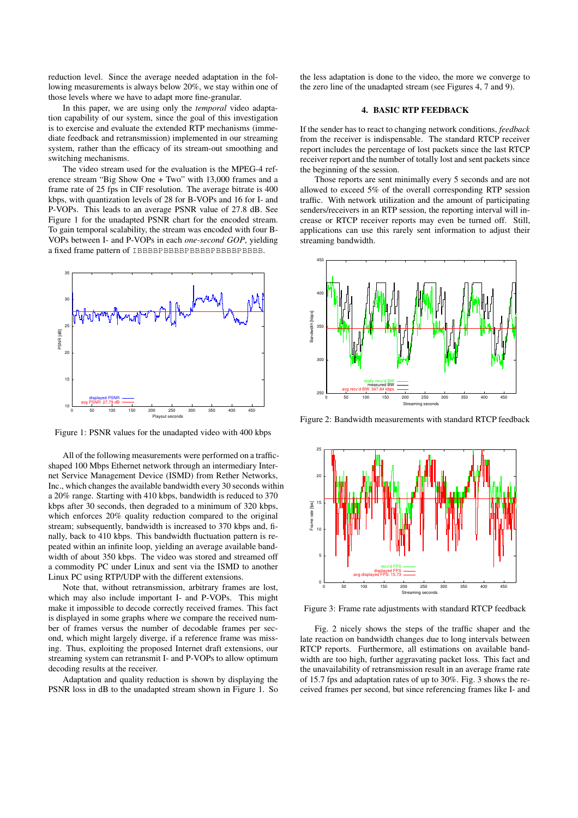reduction level. Since the average needed adaptation in the following measurements is always below 20%, we stay within one of those levels where we have to adapt more fine-granular.

In this paper, we are using only the *temporal* video adaptation capability of our system, since the goal of this investigation is to exercise and evaluate the extended RTP mechanisms (immediate feedback and retransmission) implemented in our streaming system, rather than the efficacy of its stream-out smoothing and switching mechanisms.

The video stream used for the evaluation is the MPEG-4 reference stream "Big Show One + Two" with 13,000 frames and a frame rate of 25 fps in CIF resolution. The average bitrate is 400 kbps, with quantization levels of 28 for B-VOPs and 16 for I- and P-VOPs. This leads to an average PSNR value of 27.8 dB. See Figure 1 for the unadapted PSNR chart for the encoded stream. To gain temporal scalability, the stream was encoded with four B-VOPs between I- and P-VOPs in each *one-second GOP*, yielding a fixed frame pattern of IBBBBPBBBBPBBBBPBBBBPBBBB.



Figure 1: PSNR values for the unadapted video with 400 kbps

All of the following measurements were performed on a trafficshaped 100 Mbps Ethernet network through an intermediary Internet Service Management Device (ISMD) from Rether Networks, Inc., which changes the available bandwidth every 30 seconds within a 20% range. Starting with 410 kbps, bandwidth is reduced to 370 kbps after 30 seconds, then degraded to a minimum of 320 kbps, which enforces 20% quality reduction compared to the original stream; subsequently, bandwidth is increased to 370 kbps and, finally, back to 410 kbps. This bandwidth fluctuation pattern is repeated within an infinite loop, yielding an average available bandwidth of about 350 kbps. The video was stored and streamed off a commodity PC under Linux and sent via the ISMD to another Linux PC using RTP/UDP with the different extensions.

Note that, without retransmission, arbitrary frames are lost, which may also include important I- and P-VOPs. This might make it impossible to decode correctly received frames. This fact is displayed in some graphs where we compare the received number of frames versus the number of decodable frames per second, which might largely diverge, if a reference frame was missing. Thus, exploiting the proposed Internet draft extensions, our streaming system can retransmit I- and P-VOPs to allow optimum decoding results at the receiver.

Adaptation and quality reduction is shown by displaying the PSNR loss in dB to the unadapted stream shown in Figure 1. So the less adaptation is done to the video, the more we converge to the zero line of the unadapted stream (see Figures 4, 7 and 9).

# **4. BASIC RTP FEEDBACK**

If the sender has to react to changing network conditions, *feedback* from the receiver is indispensable. The standard RTCP receiver report includes the percentage of lost packets since the last RTCP receiver report and the number of totally lost and sent packets since the beginning of the session.

Those reports are sent minimally every 5 seconds and are not allowed to exceed 5% of the overall corresponding RTP session traffic. With network utilization and the amount of participating senders/receivers in an RTP session, the reporting interval will increase or RTCP receiver reports may even be turned off. Still, applications can use this rarely sent information to adjust their streaming bandwidth.



Figure 2: Bandwidth measurements with standard RTCP feedback



Figure 3: Frame rate adjustments with standard RTCP feedback

Fig. 2 nicely shows the steps of the traffic shaper and the late reaction on bandwidth changes due to long intervals between RTCP reports. Furthermore, all estimations on available bandwidth are too high, further aggravating packet loss. This fact and the unavailability of retransmission result in an average frame rate of 15.7 fps and adaptation rates of up to 30%. Fig. 3 shows the received frames per second, but since referencing frames like I- and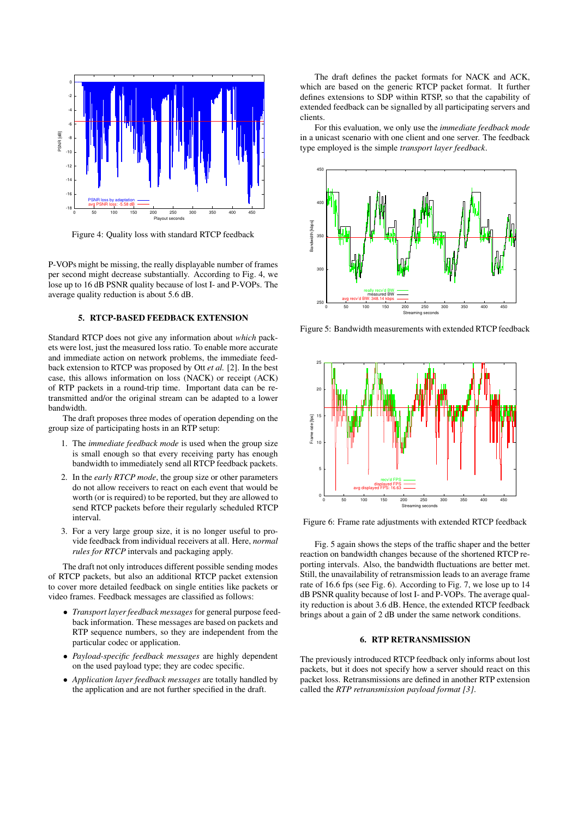

Figure 4: Quality loss with standard RTCP feedback

P-VOPs might be missing, the really displayable number of frames per second might decrease substantially. According to Fig. 4, we lose up to 16 dB PSNR quality because of lost I- and P-VOPs. The average quality reduction is about 5.6 dB.

#### **5. RTCP-BASED FEEDBACK EXTENSION**

Standard RTCP does not give any information about *which* packets were lost, just the measured loss ratio. To enable more accurate and immediate action on network problems, the immediate feedback extension to RTCP was proposed by Ott *et al.* [2]. In the best case, this allows information on loss (NACK) or receipt (ACK) of RTP packets in a round-trip time. Important data can be retransmitted and/or the original stream can be adapted to a lower bandwidth.

The draft proposes three modes of operation depending on the group size of participating hosts in an RTP setup:

- 1. The *immediate feedback mode* is used when the group size is small enough so that every receiving party has enough bandwidth to immediately send all RTCP feedback packets.
- 2. In the *early RTCP mode*, the group size or other parameters do not allow receivers to react on each event that would be worth (or is required) to be reported, but they are allowed to send RTCP packets before their regularly scheduled RTCP interval.
- 3. For a very large group size, it is no longer useful to provide feedback from individual receivers at all. Here, *normal rules for RTCP* intervals and packaging apply.

The draft not only introduces different possible sending modes of RTCP packets, but also an additional RTCP packet extension to cover more detailed feedback on single entities like packets or video frames. Feedback messages are classified as follows:

- *Transport layer feedback messages* for general purpose feedback information. These messages are based on packets and RTP sequence numbers, so they are independent from the particular codec or application.
- *Payload-specific feedback messages* are highly dependent on the used payload type; they are codec specific.
- *Application layer feedback messages* are totally handled by the application and are not further specified in the draft.

The draft defines the packet formats for NACK and ACK, which are based on the generic RTCP packet format. It further defines extensions to SDP within RTSP, so that the capability of extended feedback can be signalled by all participating servers and clients.

For this evaluation, we only use the *immediate feedback mode* in a unicast scenario with one client and one server. The feedback type employed is the simple *transport layer feedback*.



Figure 5: Bandwidth measurements with extended RTCP feedback



Figure 6: Frame rate adjustments with extended RTCP feedback

Fig. 5 again shows the steps of the traffic shaper and the better reaction on bandwidth changes because of the shortened RTCP reporting intervals. Also, the bandwidth fluctuations are better met. Still, the unavailability of retransmission leads to an average frame rate of 16.6 fps (see Fig. 6). According to Fig. 7, we lose up to 14 dB PSNR quality because of lost I- and P-VOPs. The average quality reduction is about 3.6 dB. Hence, the extended RTCP feedback brings about a gain of 2 dB under the same network conditions.

#### **6. RTP RETRANSMISSION**

The previously introduced RTCP feedback only informs about lost packets, but it does not specify how a server should react on this packet loss. Retransmissions are defined in another RTP extension called the *RTP retransmission payload format [3]*.